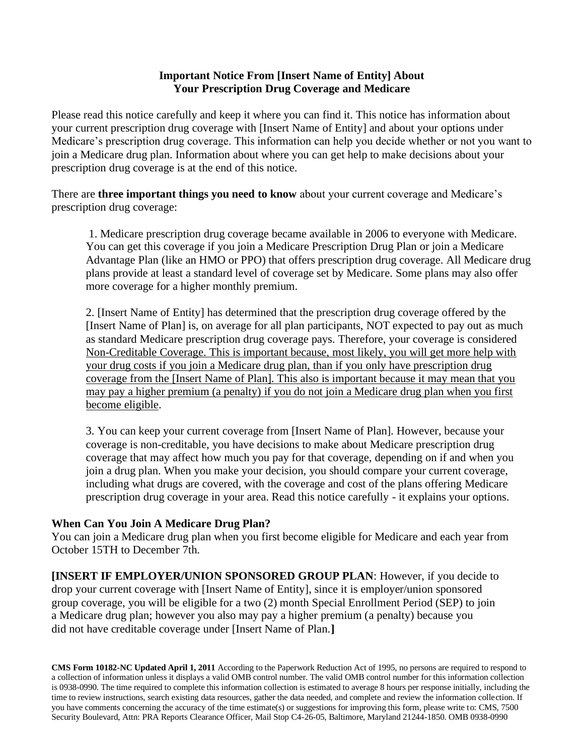#### **Important Notice From [Insert Name of Entity] About Your Prescription Drug Coverage and Medicare**

Please read this notice carefully and keep it where you can find it. This notice has information about your current prescription drug coverage with [Insert Name of Entity] and about your options under Medicare's prescription drug coverage. This information can help you decide whether or not you want to join a Medicare drug plan. Information about where you can get help to make decisions about your prescription drug coverage is at the end of this notice.

There are **three important things you need to know** about your current coverage and Medicare's prescription drug coverage:

1. Medicare prescription drug coverage became available in 2006 to everyone with Medicare. You can get this coverage if you join a Medicare Prescription Drug Plan or join a Medicare Advantage Plan (like an HMO or PPO) that offers prescription drug coverage. All Medicare drug plans provide at least a standard level of coverage set by Medicare. Some plans may also offer more coverage for a higher monthly premium.

2. [Insert Name of Entity] has determined that the prescription drug coverage offered by the [Insert Name of Plan] is, on average for all plan participants, NOT expected to pay out as much as standard Medicare prescription drug coverage pays. Therefore, your coverage is considered Non-Creditable Coverage. This is important because, most likely, you will get more help with your drug costs if you join a Medicare drug plan, than if you only have prescription drug coverage from the [Insert Name of Plan]. This also is important because it may mean that you may pay a higher premium (a penalty) if you do not join a Medicare drug plan when you first become eligible.

3. You can keep your current coverage from [Insert Name of Plan]. However, because your coverage is non-creditable, you have decisions to make about Medicare prescription drug coverage that may affect how much you pay for that coverage, depending on if and when you join a drug plan. When you make your decision, you should compare your current coverage, including what drugs are covered, with the coverage and cost of the plans offering Medicare prescription drug coverage in your area. Read this notice carefully - it explains your options.

### **When Can You Join A Medicare Drug Plan?**

You can join a Medicare drug plan when you first become eligible for Medicare and each year from October 15TH to December 7th.

**[INSERT IF EMPLOYER/UNION SPONSORED GROUP PLAN**: However, if you decide to drop your current coverage with [Insert Name of Entity], since it is employer/union sponsored group coverage, you will be eligible for a two (2) month Special Enrollment Period (SEP) to join a Medicare drug plan; however you also may pay a higher premium (a penalty) because you did not have creditable coverage under [Insert Name of Plan.**]**

**CMS Form 10182-NC Updated April 1, 2011** According to the Paperwork Reduction Act of 1995, no persons are required to respond to a collection of information unless it displays a valid OMB control number. The valid OMB control number for this information collection is 0938-0990. The time required to complete this information collection is estimated to average 8 hours per response initially, including the time to review instructions, search existing data resources, gather the data needed, and complete and review the information collection. If you have comments concerning the accuracy of the time estimate(s) or suggestions for improving this form, please write to: CMS, 7500 Security Boulevard, Attn: PRA Reports Clearance Officer, Mail Stop C4-26-05, Baltimore, Maryland 21244-1850. OMB 0938-0990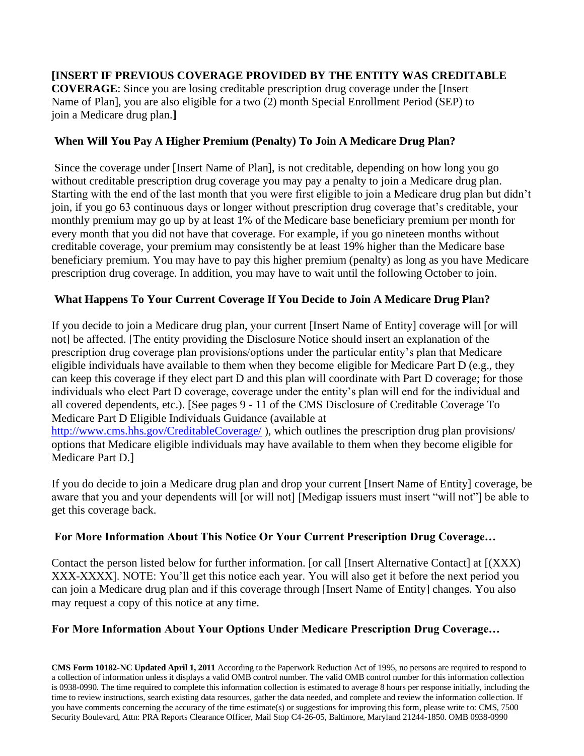### **[INSERT IF PREVIOUS COVERAGE PROVIDED BY THE ENTITY WAS CREDITABLE COVERAGE**: Since you are losing creditable prescription drug coverage under the [Insert Name of Plan], you are also eligible for a two (2) month Special Enrollment Period (SEP) to join a Medicare drug plan.**]**

# **When Will You Pay A Higher Premium (Penalty) To Join A Medicare Drug Plan?**

Since the coverage under [Insert Name of Plan], is not creditable, depending on how long you go without creditable prescription drug coverage you may pay a penalty to join a Medicare drug plan. Starting with the end of the last month that you were first eligible to join a Medicare drug plan but didn't join, if you go 63 continuous days or longer without prescription drug coverage that's creditable, your monthly premium may go up by at least 1% of the Medicare base beneficiary premium per month for every month that you did not have that coverage. For example, if you go nineteen months without creditable coverage, your premium may consistently be at least 19% higher than the Medicare base beneficiary premium. You may have to pay this higher premium (penalty) as long as you have Medicare prescription drug coverage. In addition, you may have to wait until the following October to join.

# **What Happens To Your Current Coverage If You Decide to Join A Medicare Drug Plan?**

If you decide to join a Medicare drug plan, your current [Insert Name of Entity] coverage will [or will not] be affected. [The entity providing the Disclosure Notice should insert an explanation of the prescription drug coverage plan provisions/options under the particular entity's plan that Medicare eligible individuals have available to them when they become eligible for Medicare Part D (e.g., they can keep this coverage if they elect part D and this plan will coordinate with Part D coverage; for those individuals who elect Part D coverage, coverage under the entity's plan will end for the individual and all covered dependents, etc.). [See pages 9 - 11 of the CMS Disclosure of Creditable Coverage To Medicare Part D Eligible Individuals Guidance (available at <http://www.cms.hhs.gov/CreditableCoverage/> ), which outlines the prescription drug plan provisions/

options that Medicare eligible individuals may have available to them when they become eligible for Medicare Part D.]

If you do decide to join a Medicare drug plan and drop your current [Insert Name of Entity] coverage, be aware that you and your dependents will [or will not] [Medigap issuers must insert "will not"] be able to get this coverage back.

## **For More Information About This Notice Or Your Current Prescription Drug Coverage…**

Contact the person listed below for further information. [or call [Insert Alternative Contact] at [(XXX) XXX-XXXX]. NOTE: You'll get this notice each year. You will also get it before the next period you can join a Medicare drug plan and if this coverage through [Insert Name of Entity] changes. You also may request a copy of this notice at any time.

## **For More Information About Your Options Under Medicare Prescription Drug Coverage…**

**CMS Form 10182-NC Updated April 1, 2011** According to the Paperwork Reduction Act of 1995, no persons are required to respond to a collection of information unless it displays a valid OMB control number. The valid OMB control number for this information collection is 0938-0990. The time required to complete this information collection is estimated to average 8 hours per response initially, including the time to review instructions, search existing data resources, gather the data needed, and complete and review the information collection. If you have comments concerning the accuracy of the time estimate(s) or suggestions for improving this form, please write to: CMS, 7500 Security Boulevard, Attn: PRA Reports Clearance Officer, Mail Stop C4-26-05, Baltimore, Maryland 21244-1850. OMB 0938-0990